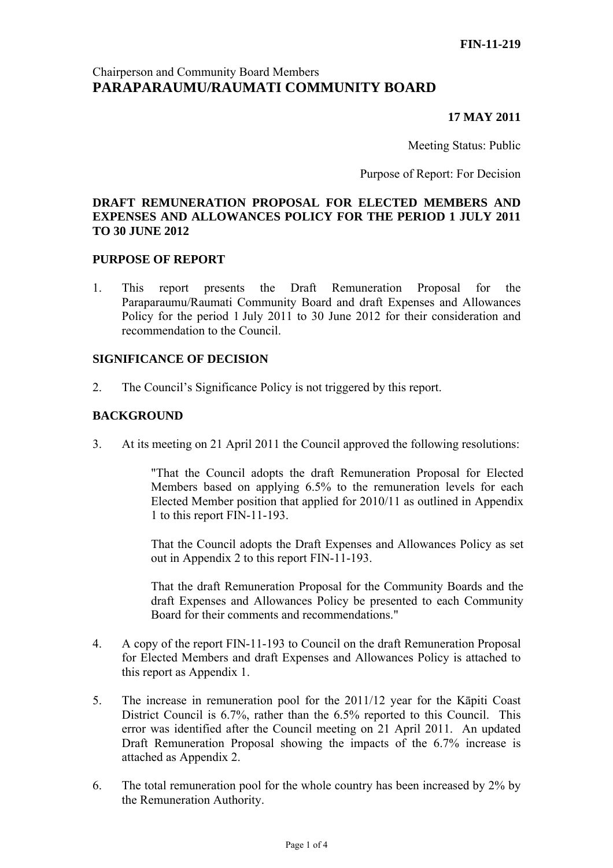# Chairperson and Community Board Members **PARAPARAUMU/RAUMATI COMMUNITY BOARD**

# **17 MAY 2011**

Meeting Status: Public

Purpose of Report: For Decision

# **DRAFT REMUNERATION PROPOSAL FOR ELECTED MEMBERS AND EXPENSES AND ALLOWANCES POLICY FOR THE PERIOD 1 JULY 2011 TO 30 JUNE 2012**

### **PURPOSE OF REPORT**

1. This report presents the Draft Remuneration Proposal for the Paraparaumu/Raumati Community Board and draft Expenses and Allowances Policy for the period 1 July 2011 to 30 June 2012 for their consideration and recommendation to the Council.

### **SIGNIFICANCE OF DECISION**

2. The Council's Significance Policy is not triggered by this report.

# **BACKGROUND**

3. At its meeting on 21 April 2011 the Council approved the following resolutions:

"That the Council adopts the draft Remuneration Proposal for Elected Members based on applying 6.5% to the remuneration levels for each Elected Member position that applied for 2010/11 as outlined in Appendix 1 to this report FIN-11-193.

That the Council adopts the Draft Expenses and Allowances Policy as set out in Appendix 2 to this report FIN-11-193.

That the draft Remuneration Proposal for the Community Boards and the draft Expenses and Allowances Policy be presented to each Community Board for their comments and recommendations."

- 4. A copy of the report FIN-11-193 to Council on the draft Remuneration Proposal for Elected Members and draft Expenses and Allowances Policy is attached to this report as Appendix 1.
- 5. The increase in remuneration pool for the 2011/12 year for the Kāpiti Coast District Council is 6.7%, rather than the 6.5% reported to this Council. This error was identified after the Council meeting on 21 April 2011. An updated Draft Remuneration Proposal showing the impacts of the 6.7% increase is attached as Appendix 2.
- 6. The total remuneration pool for the whole country has been increased by 2% by the Remuneration Authority.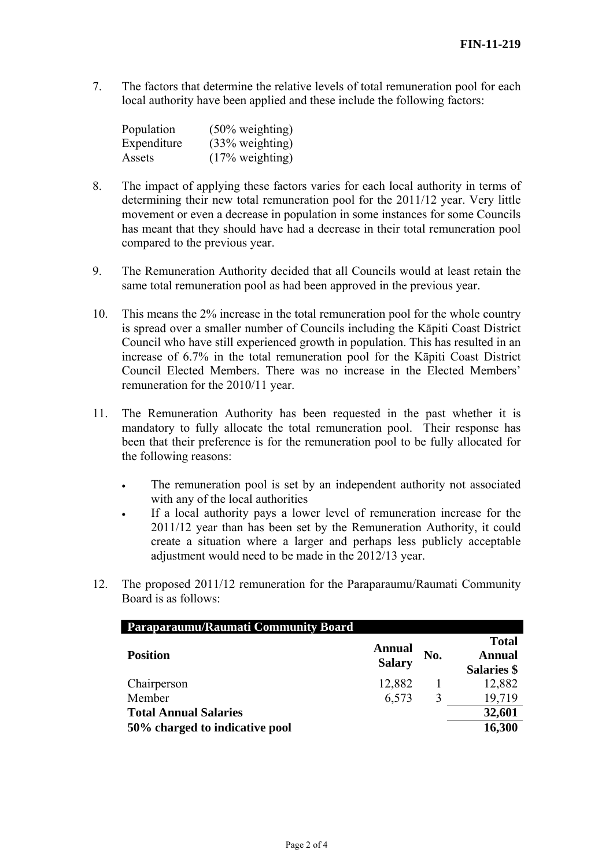7. The factors that determine the relative levels of total remuneration pool for each local authority have been applied and these include the following factors:

| Population  | $(50\% \text{ weighting})$ |
|-------------|----------------------------|
| Expenditure | (33% weighting)            |
| Assets      | $(17\% \text{ weighting})$ |

- 8. The impact of applying these factors varies for each local authority in terms of determining their new total remuneration pool for the 2011/12 year. Very little movement or even a decrease in population in some instances for some Councils has meant that they should have had a decrease in their total remuneration pool compared to the previous year.
- 9. The Remuneration Authority decided that all Councils would at least retain the same total remuneration pool as had been approved in the previous year.
- 10. This means the 2% increase in the total remuneration pool for the whole country is spread over a smaller number of Councils including the Kāpiti Coast District Council who have still experienced growth in population. This has resulted in an increase of 6.7% in the total remuneration pool for the Kāpiti Coast District Council Elected Members. There was no increase in the Elected Members' remuneration for the 2010/11 year.
- 11. The Remuneration Authority has been requested in the past whether it is mandatory to fully allocate the total remuneration pool. Their response has been that their preference is for the remuneration pool to be fully allocated for the following reasons:
	- The remuneration pool is set by an independent authority not associated with any of the local authorities
	- If a local authority pays a lower level of remuneration increase for the 2011/12 year than has been set by the Remuneration Authority, it could create a situation where a larger and perhaps less publicly acceptable adjustment would need to be made in the 2012/13 year.
- 12. The proposed 2011/12 remuneration for the Paraparaumu/Raumati Community Board is as follows:

| <b>Paraparaumu/Raumati Community Board</b> |                                |     |                                              |
|--------------------------------------------|--------------------------------|-----|----------------------------------------------|
| <b>Position</b>                            | <b>Annual</b><br><b>Salary</b> | No. | <b>Total</b><br>Annual<br><b>Salaries</b> \$ |
| Chairperson                                | 12,882                         |     | 12,882                                       |
| Member                                     | 6,573                          | 3   | 19,719                                       |
| <b>Total Annual Salaries</b>               |                                |     | 32,601                                       |
| 50% charged to indicative pool             |                                |     | 16,300                                       |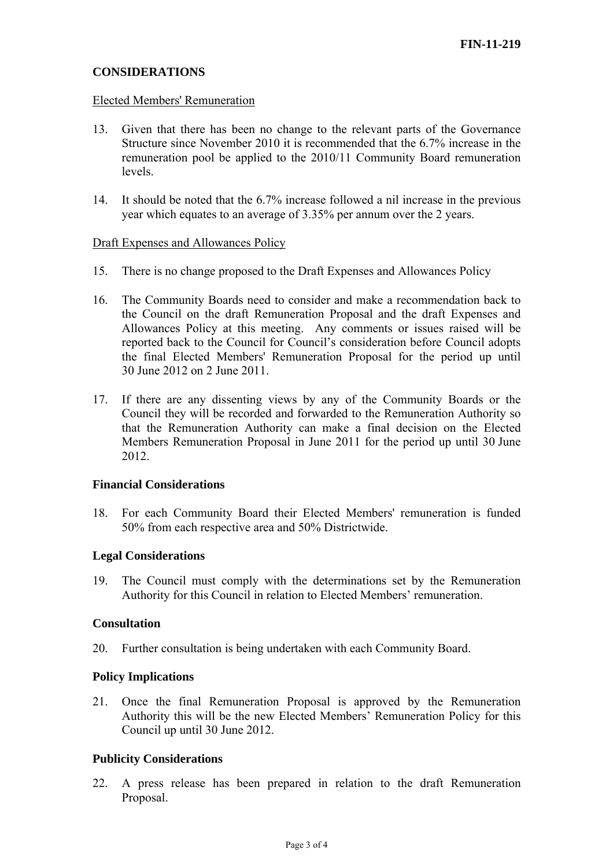# **CONSIDERATIONS**

#### Elected Members' Remuneration

- 13. Given that there has been no change to the relevant parts of the Governance Structure since November 2010 it is recommended that the 6.7% increase in the remuneration pool be applied to the 2010/11 Community Board remuneration levels.
- 14. It should be noted that the 6.7% increase followed a nil increase in the previous year which equates to an average of 3.35% per annum over the 2 years.

#### Draft Expenses and Allowances Policy

- 15. There is no change proposed to the Draft Expenses and Allowances Policy
- 16. The Community Boards need to consider and make a recommendation back to the Council on the draft Remuneration Proposal and the draft Expenses and Allowances Policy at this meeting. Any comments or issues raised will be reported back to the Council for Council's consideration before Council adopts the final Elected Members' Remuneration Proposal for the period up until 30 June 2012 on 2 June 2011.
- 17. If there are any dissenting views by any of the Community Boards or the Council they will be recorded and forwarded to the Remuneration Authority so that the Remuneration Authority can make a final decision on the Elected Members Remuneration Proposal in June 2011 for the period up until 30 June 2012.

### **Financial Considerations**

18. For each Community Board their Elected Members' remuneration is funded 50% from each respective area and 50% Districtwide.

### **Legal Considerations**

19. The Council must comply with the determinations set by the Remuneration Authority for this Council in relation to Elected Members' remuneration.

#### **Consultation**

20. Further consultation is being undertaken with each Community Board.

### **Policy Implications**

21. Once the final Remuneration Proposal is approved by the Remuneration Authority this will be the new Elected Members' Remuneration Policy for this Council up until 30 June 2012.

### **Publicity Considerations**

22. A press release has been prepared in relation to the draft Remuneration Proposal.